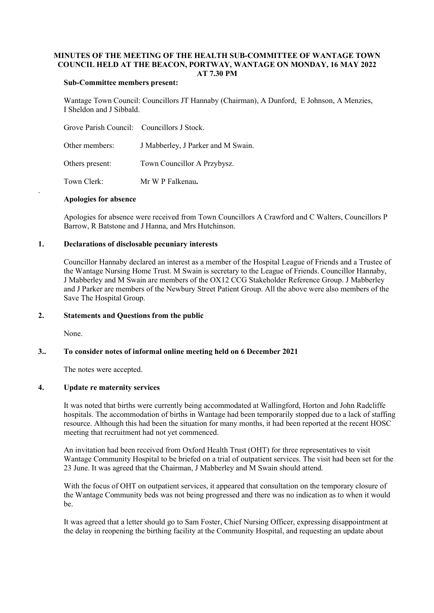## MINUTES OF THE MEETING OF THE HEALTH SUB-COMMITTEE OF WANTAGE TOWN COUNCIL HELD AT THE BEACON, PORTWAY, WANTAGE ON MONDAY, 16 MAY 2022 AT 7.30 PM

### Sub-Committee members present:

Wantage Town Council: Councillors JT Hannaby (Chairman), A Dunford, E Johnson, A Menzies, I Sheldon and J Sibbald.

| Grove Parish Council: Councillors J Stock. |                                    |
|--------------------------------------------|------------------------------------|
| Other members:                             | J Mabberley, J Parker and M Swain. |
| Others present:                            | Town Councillor A Przybysz.        |
| Town Clerk:                                | Mr W P Falkenau.                   |

#### Apologies for absence

Apologies for absence were received from Town Councillors A Crawford and C Walters, Councillors P Barrow, R Batstone and J Hanna, and Mrs Hutchinson.

#### 1. Declarations of disclosable pecuniary interests

Councillor Hannaby declared an interest as a member of the Hospital League of Friends and a Trustee of the Wantage Nursing Home Trust. M Swain is secretary to the League of Friends. Councillor Hannaby, J Mabberley and M Swain are members of the OX12 CCG Stakeholder Reference Group. J Mabberley and J Parker are members of the Newbury Street Patient Group. All the above were also members of the Save The Hospital Group.

### 2. Statements and Questions from the public

None.

.

#### 3.. To consider notes of informal online meeting held on 6 December 2021

The notes were accepted.

### 4. Update re maternity services

It was noted that births were currently being accommodated at Wallingford, Horton and John Radcliffe hospitals. The accommodation of births in Wantage had been temporarily stopped due to a lack of staffing resource. Although this had been the situation for many months, it had been reported at the recent HOSC meeting that recruitment had not yet commenced.

An invitation had been received from Oxford Health Trust (OHT) for three representatives to visit Wantage Community Hospital to be briefed on a trial of outpatient services. The visit had been set for the 23 June. It was agreed that the Chairman, J Mabberley and M Swain should attend.

With the focus of OHT on outpatient services, it appeared that consultation on the temporary closure of the Wantage Community beds was not being progressed and there was no indication as to when it would be.

It was agreed that a letter should go to Sam Foster, Chief Nursing Officer, expressing disappointment at the delay in reopening the birthing facility at the Community Hospital, and requesting an update about